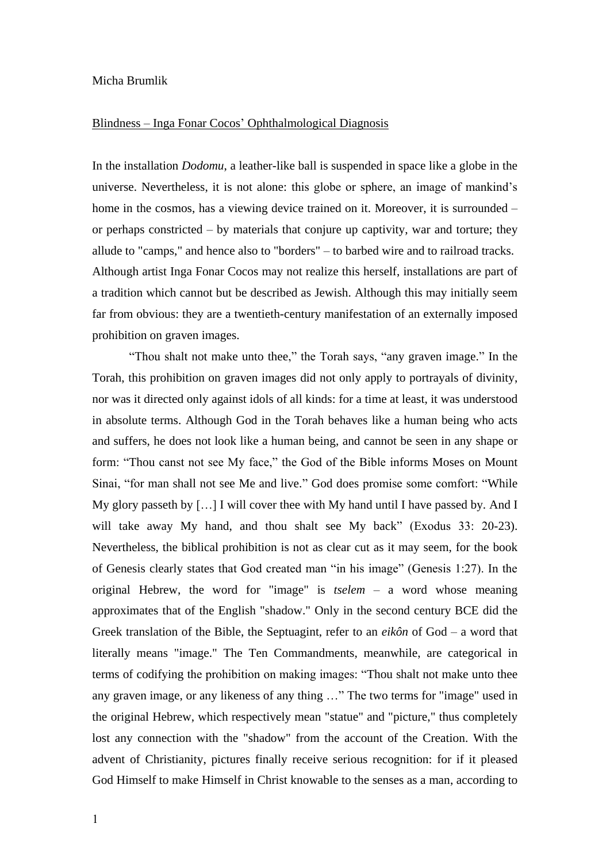## Micha Brumlik

## Blindness – Inga Fonar Cocos' Ophthalmological Diagnosis

In the installation *Dodomu*, a leather-like ball is suspended in space like a globe in the universe. Nevertheless, it is not alone: this globe or sphere, an image of mankind's home in the cosmos, has a viewing device trained on it. Moreover, it is surrounded – or perhaps constricted – by materials that conjure up captivity, war and torture; they allude to "camps," and hence also to "borders" – to barbed wire and to railroad tracks. Although artist Inga Fonar Cocos may not realize this herself, installations are part of a tradition which cannot but be described as Jewish. Although this may initially seem far from obvious: they are a twentieth-century manifestation of an externally imposed prohibition on graven images.

"Thou shalt not make unto thee," the Torah says, "any graven image." In the Torah, this prohibition on graven images did not only apply to portrayals of divinity, nor was it directed only against idols of all kinds: for a time at least, it was understood in absolute terms. Although God in the Torah behaves like a human being who acts and suffers, he does not look like a human being, and cannot be seen in any shape or form: "Thou canst not see My face," the God of the Bible informs Moses on Mount Sinai, "for man shall not see Me and live." God does promise some comfort: "While My glory passeth by […] I will cover thee with My hand until I have passed by. And I will take away My hand, and thou shalt see My back" (Exodus 33: 20-23). Nevertheless, the biblical prohibition is not as clear cut as it may seem, for the book of Genesis clearly states that God created man "in his image" (Genesis 1:27). In the original Hebrew, the word for "image" is *tselem* – a word whose meaning approximates that of the English "shadow." Only in the second century BCE did the Greek translation of the Bible, the Septuagint, refer to an *eikôn* of God – a word that literally means "image." The Ten Commandments, meanwhile, are categorical in terms of codifying the prohibition on making images: "Thou shalt not make unto thee any graven image, or any likeness of any thing …" The two terms for "image" used in the original Hebrew, which respectively mean "statue" and "picture," thus completely lost any connection with the "shadow" from the account of the Creation. With the advent of Christianity, pictures finally receive serious recognition: for if it pleased God Himself to make Himself in Christ knowable to the senses as a man, according to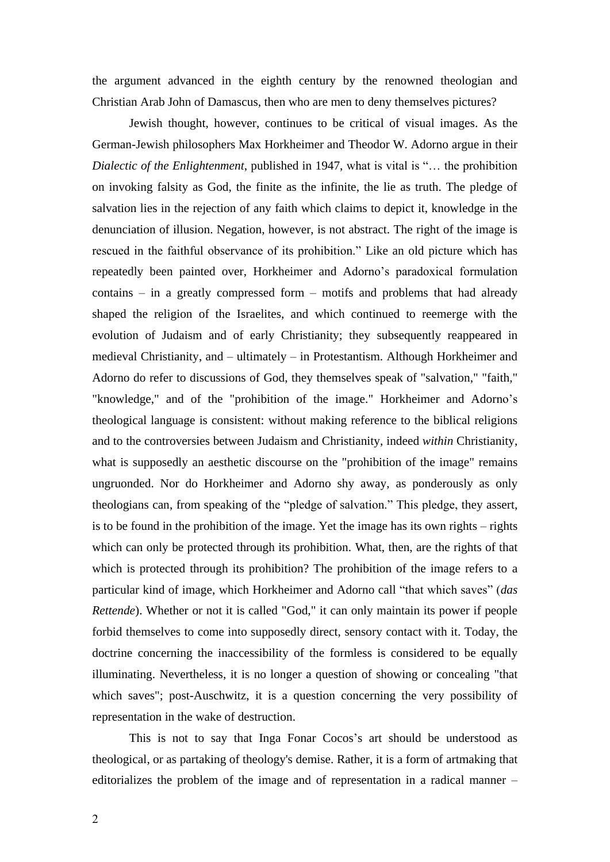the argument advanced in the eighth century by the renowned theologian and Christian Arab John of Damascus, then who are men to deny themselves pictures?

Jewish thought, however, continues to be critical of visual images. As the German-Jewish philosophers Max Horkheimer and Theodor W. Adorno argue in their *Dialectic of the Enlightenment*, published in 1947, what is vital is "… the prohibition on invoking falsity as God, the finite as the infinite, the lie as truth. The pledge of salvation lies in the rejection of any faith which claims to depict it, knowledge in the denunciation of illusion. Negation, however, is not abstract. The right of the image is rescued in the faithful observance of its prohibition." Like an old picture which has repeatedly been painted over, Horkheimer and Adorno's paradoxical formulation contains – in a greatly compressed form – motifs and problems that had already shaped the religion of the Israelites, and which continued to reemerge with the evolution of Judaism and of early Christianity; they subsequently reappeared in medieval Christianity, and – ultimately – in Protestantism. Although Horkheimer and Adorno do refer to discussions of God, they themselves speak of "salvation," "faith," "knowledge," and of the "prohibition of the image." Horkheimer and Adorno's theological language is consistent: without making reference to the biblical religions and to the controversies between Judaism and Christianity, indeed *within* Christianity, what is supposedly an aesthetic discourse on the "prohibition of the image" remains ungruonded. Nor do Horkheimer and Adorno shy away, as ponderously as only theologians can, from speaking of the "pledge of salvation." This pledge, they assert, is to be found in the prohibition of the image. Yet the image has its own rights – rights which can only be protected through its prohibition. What, then, are the rights of that which is protected through its prohibition? The prohibition of the image refers to a particular kind of image, which Horkheimer and Adorno call "that which saves" (*das Rettende*). Whether or not it is called "God," it can only maintain its power if people forbid themselves to come into supposedly direct, sensory contact with it. Today, the doctrine concerning the inaccessibility of the formless is considered to be equally illuminating. Nevertheless, it is no longer a question of showing or concealing "that which saves"; post-Auschwitz, it is a question concerning the very possibility of representation in the wake of destruction.

This is not to say that Inga Fonar Cocos's art should be understood as theological, or as partaking of theology's demise. Rather, it is a form of artmaking that editorializes the problem of the image and of representation in a radical manner –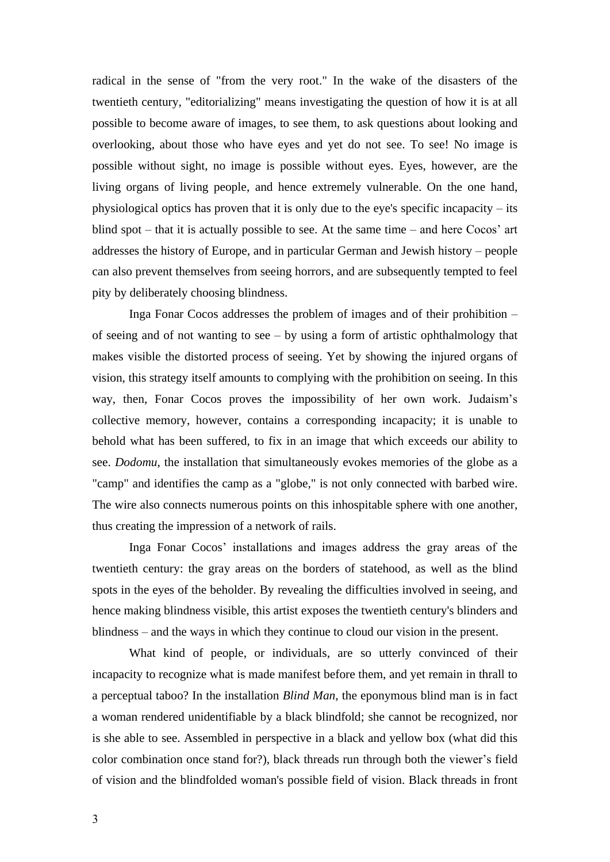radical in the sense of "from the very root." In the wake of the disasters of the twentieth century, "editorializing" means investigating the question of how it is at all possible to become aware of images, to see them, to ask questions about looking and overlooking, about those who have eyes and yet do not see. To see! No image is possible without sight, no image is possible without eyes. Eyes, however, are the living organs of living people, and hence extremely vulnerable. On the one hand, physiological optics has proven that it is only due to the eye's specific incapacity – its blind spot – that it is actually possible to see. At the same time – and here Cocos' art addresses the history of Europe, and in particular German and Jewish history – people can also prevent themselves from seeing horrors, and are subsequently tempted to feel pity by deliberately choosing blindness.

Inga Fonar Cocos addresses the problem of images and of their prohibition – of seeing and of not wanting to see  $-$  by using a form of artistic ophthalmology that makes visible the distorted process of seeing. Yet by showing the injured organs of vision, this strategy itself amounts to complying with the prohibition on seeing. In this way, then, Fonar Cocos proves the impossibility of her own work. Judaism's collective memory, however, contains a corresponding incapacity; it is unable to behold what has been suffered, to fix in an image that which exceeds our ability to see. *Dodomu*, the installation that simultaneously evokes memories of the globe as a "camp" and identifies the camp as a "globe," is not only connected with barbed wire. The wire also connects numerous points on this inhospitable sphere with one another, thus creating the impression of a network of rails.

Inga Fonar Cocos' installations and images address the gray areas of the twentieth century: the gray areas on the borders of statehood, as well as the blind spots in the eyes of the beholder. By revealing the difficulties involved in seeing, and hence making blindness visible, this artist exposes the twentieth century's blinders and blindness – and the ways in which they continue to cloud our vision in the present.

What kind of people, or individuals, are so utterly convinced of their incapacity to recognize what is made manifest before them, and yet remain in thrall to a perceptual taboo? In the installation *Blind Man*, the eponymous blind man is in fact a woman rendered unidentifiable by a black blindfold; she cannot be recognized, nor is she able to see. Assembled in perspective in a black and yellow box (what did this color combination once stand for?), black threads run through both the viewer's field of vision and the blindfolded woman's possible field of vision. Black threads in front